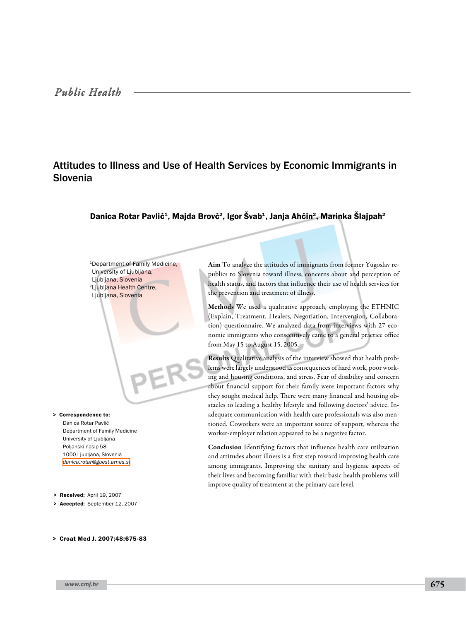# Attitudes to Illness and Use of Health Services by Economic Immigrants in Slovenia

# Danica Rotar Pavlič<sup>1</sup>, Majda Brovč<sup>2</sup>, Igor Švab<sup>1</sup>, Janja Ahčin<sup>2</sup>, Marinka Šlajpah<sup>2</sup>

1Department of Family Medicine, University of Ljubljana, Ljubljana, Slovenia 2Ljubljana Health Centre, Ljubljana, Slovenia

> Correspondence to: Danica Rotar Pavlič Department of Family Medicine University of Ljubljana Poljanski nasip 58 1000 Ljubljana, Slovenia *[danica.rotar@guest.arnes.si](mailto: danica.rotar@guest.arnes.si )*

> Received: April 19, 2007

> Accepted: September 12, 2007

#### > Croat Med J. 2007;48:675-83

*www.cmj.hr* 675

Aim To analyze the attitudes of immigrants from former Yugoslav republics to Slovenia toward illness, concerns about and perception of health status, and factors that influence their use of health services for the prevention and treatment of illness.

Methods We used a qualitative approach, employing the ETHNIC (Explain, Treatment, Healers, Negotiation, Intervention, Collaboration) questionnaire. We analyzed data from interviews with 27 economic immigrants who consecutively came to a general practice office from May 15 to August 15, 2005.

Results Qualitative analysis of the interview showed that health problems were largely understood as consequences of hard work, poor working and housing conditions, and stress. Fear of disability and concern about financial support for their family were important factors why they sought medical help. There were many financial and housing obstacles to leading a healthy lifestyle and following doctors' advice. Inadequate communication with health care professionals was also mentioned. Coworkers were an important source of support, whereas the worker-employer relation appeared to be a negative factor.

Conclusion Identifying factors that influence health care utilization and attitudes about illness is a first step toward improving health care among immigrants. Improving the sanitary and hygienic aspects of their lives and becoming familiar with their basic health problems will improve quality of treatment at the primary care level.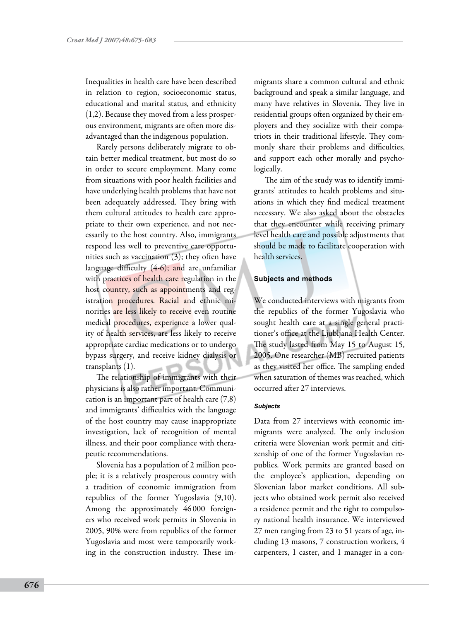Inequalities in health care have been described in relation to region, socioeconomic status, educational and marital status, and ethnicity (1,2). Because they moved from a less prosperous environment, migrants are often more disadvantaged than the indigenous population.

Rarely persons deliberately migrate to obtain better medical treatment, but most do so in order to secure employment. Many come from situations with poor health facilities and have underlying health problems that have not been adequately addressed. They bring with them cultural attitudes to health care appropriate to their own experience, and not necessarily to the host country. Also, immigrants respond less well to preventive care opportunities such as vaccination (3); they often have language difficulty (4-6); and are unfamiliar with practices of health care regulation in the host country, such as appointments and registration procedures. Racial and ethnic minorities are less likely to receive even routine medical procedures, experience a lower quality of health services, are less likely to receive appropriate cardiac medications or to undergo bypass surgery, and receive kidney dialysis or transplants (1).

The relationship of immigrants with their physicians is also rather important. Communication is an important part of health care (7,8) and immigrants' difficulties with the language of the host country may cause inappropriate investigation, lack of recognition of mental illness, and their poor compliance with therapeutic recommendations.

Slovenia has a population of 2 million people; it is a relatively prosperous country with a tradition of economic immigration from republics of the former Yugoslavia (9,10). Among the approximately 46 000 foreigners who received work permits in Slovenia in 2005, 90% were from republics of the former Yugoslavia and most were temporarily working in the construction industry. These im-

migrants share a common cultural and ethnic background and speak a similar language, and many have relatives in Slovenia. They live in residential groups often organized by their employers and they socialize with their compatriots in their traditional lifestyle. They commonly share their problems and difficulties, and support each other morally and psychologically.

The aim of the study was to identify immigrants' attitudes to health problems and situations in which they find medical treatment necessary. We also asked about the obstacles that they encounter while receiving primary level health care and possible adjustments that should be made to facilitate cooperation with health services.

## **Subjects and methods**

We conducted interviews with migrants from the republics of the former Yugoslavia who sought health care at a single general practitioner's office at the Ljubljana Health Center. The study lasted from May 15 to August 15, 2005. One researcher (MB) recruited patients as they visited her office. The sampling ended when saturation of themes was reached, which occurred after 27 interviews.

## *Subjects*

Data from 27 interviews with economic immigrants were analyzed. The only inclusion criteria were Slovenian work permit and citizenship of one of the former Yugoslavian republics. Work permits are granted based on the employee's application, depending on Slovenian labor market conditions. All subjects who obtained work permit also received a residence permit and the right to compulsory national health insurance. We interviewed 27 men ranging from 23 to 51 years of age, including 13 masons, 7 construction workers, 4 carpenters, 1 caster, and 1 manager in a con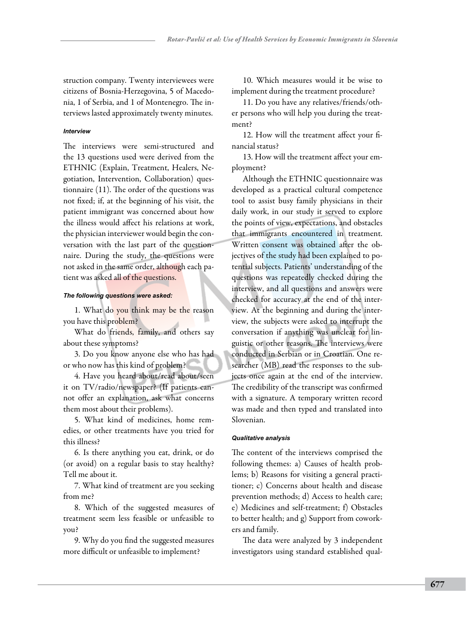struction company. Twenty interviewees were citizens of Bosnia-Herzegovina, 5 of Macedonia, 1 of Serbia, and 1 of Montenegro. The interviews lasted approximately twenty minutes.

## *Interview*

The interviews were semi-structured and the 13 questions used were derived from the ETHNIC (Explain, Treatment, Healers, Negotiation, Intervention, Collaboration) questionnaire (11). The order of the questions was not fixed; if, at the beginning of his visit, the patient immigrant was concerned about how the illness would affect his relations at work, the physician interviewer would begin the conversation with the last part of the questionnaire. During the study, the questions were not asked in the same order, although each patient was asked all of the questions.

## *The following questions were asked:*

1. What do you think may be the reason you have this problem?

What do friends, family, and others say about these symptoms?

3. Do you know anyone else who has had or who now has this kind of problem?

4. Have you heard about/read about/seen it on TV/radio/newspaper? (If patients cannot offer an explanation, ask what concerns them most about their problems).

5. What kind of medicines, home remedies, or other treatments have you tried for this illness?

6. Is there anything you eat, drink, or do (or avoid) on a regular basis to stay healthy? Tell me about it.

7. What kind of treatment are you seeking from me?

8. Which of the suggested measures of treatment seem less feasible or unfeasible to you?

9. Why do you find the suggested measures more difficult or unfeasible to implement?

10. Which measures would it be wise to implement during the treatment procedure?

11. Do you have any relatives/friends/other persons who will help you during the treatment?

12. How will the treatment affect your financial status?

13. How will the treatment affect your employment?

Although the ETHNIC questionnaire was developed as a practical cultural competence tool to assist busy family physicians in their daily work, in our study it served to explore the points of view, expectations, and obstacles that immigrants encountered in treatment. Written consent was obtained after the objectives of the study had been explained to potential subjects. Patients' understanding of the questions was repeatedly checked during the interview, and all questions and answers were checked for accuracy at the end of the interview. At the beginning and during the interview, the subjects were asked to interrupt the conversation if anything was unclear for linguistic or other reasons. The interviews were conducted in Serbian or in Croatian. One researcher (MB) read the responses to the subjects once again at the end of the interview. The credibility of the transcript was confirmed with a signature. A temporary written record was made and then typed and translated into Slovenian.

## *Qualitative analysis*

The content of the interviews comprised the following themes: a) Causes of health problems; b) Reasons for visiting a general practitioner; c) Concerns about health and disease prevention methods; d) Access to health care; e) Medicines and self-treatment; f) Obstacles to better health; and g) Support from coworkers and family.

The data were analyzed by 3 independent investigators using standard established qual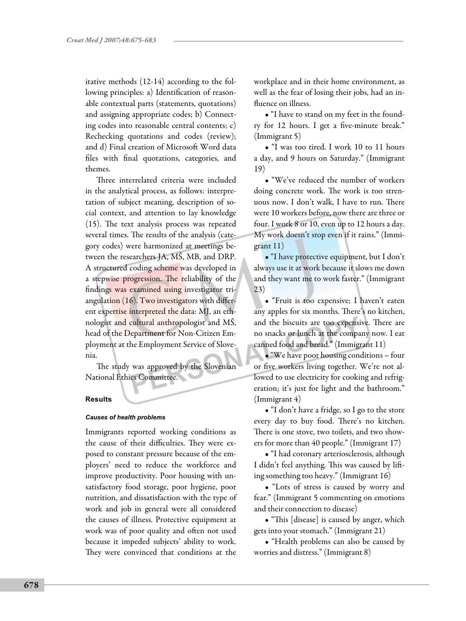itative methods (12-14) according to the following principles: a) Identification of reasonable contextual parts (statements, quotations) and assigning appropriate codes; b) Connecting codes into reasonable central contents; c) Rechecking quotations and codes (review); and d) Final creation of Microsoft Word data files with final quotations, categories, and themes.

Three interrelated criteria were included in the analytical process, as follows: interpretation of subject meaning, description of social context, and attention to lay knowledge (15). The text analysis process was repeated several times. The results of the analysis (category codes) were harmonized at meetings between the researchers JA, MŠ, MB, and DRP. A structured coding scheme was developed in a stepwise progression. The reliability of the findings was examined using investigator triangulation (16). Two investigators with different expertise interpreted the data: MJ, an ethnologist and cultural anthropologist and MŠ, head of the Department for Non-Citizen Employment at the Employment Service of Slovenia.

The study was approved by the Slovenian National Ethics Committee.

## **Results**

## *Causes of health problems*

Immigrants reported working conditions as the cause of their difficulties. They were exposed to constant pressure because of the employers' need to reduce the workforce and improve productivity. Poor housing with unsatisfactory food storage, poor hygiene, poor nutrition, and dissatisfaction with the type of work and job in general were all considered the causes of illness. Protective equipment at work was of poor quality and often not used because it impeded subjects' ability to work. They were convinced that conditions at the

workplace and in their home environment, as well as the fear of losing their jobs, had an influence on illness.

• "I have to stand on my feet in the foundry for 12 hours. I get a five-minute break." (Immigrant 5)

• "I was too tired. I work 10 to 11 hours a day, and 9 hours on Saturday." (Immigrant 19)

• "We've reduced the number of workers doing concrete work. The work is too strenuous now. I don't walk, I have to run. There were 10 workers before, now there are three or four. I work 8 or 10, even up to 12 hours a day. My work doesn't stop even if it rains." (Immigrant 11)

• "I have protective equipment, but I don't always use it at work because it slows me down and they want me to work faster." (Immigrant 23)

• "Fruit is too expensive; I haven't eaten any apples for six months. There's no kitchen, and the biscuits are too expensive. There are no snacks or lunch at the company now. I eat canned food and bread." (Immigrant 11)

• "We have poor housing conditions – four or five workers living together. We're not allowed to use electricity for cooking and refrigeration; it's just for light and the bathroom." (Immigrant 4)

• "I don't have a fridge, so I go to the store every day to buy food. There's no kitchen. There is one stove, two toilets, and two showers for more than 40 people." (Immigrant 17)

• "I had coronary arteriosclerosis, although I didn't feel anything. This was caused by lifting something too heavy." (Immigrant 16)

• "Lots of stress is caused by worry and fear." (Immigrant 5 commenting on emotions and their connection to disease)

• "This [disease] is caused by anger, which gets into your stomach." (Immigrant 21)

• "Health problems can also be caused by worries and distress." (Immigrant 8)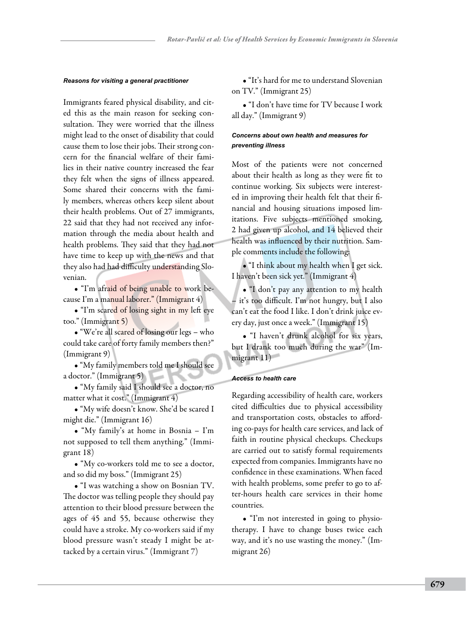### *Reasons for visiting a general practitioner*

Immigrants feared physical disability, and cited this as the main reason for seeking consultation. They were worried that the illness might lead to the onset of disability that could cause them to lose their jobs. Their strong concern for the financial welfare of their families in their native country increased the fear they felt when the signs of illness appeared. Some shared their concerns with the family members, whereas others keep silent about their health problems. Out of 27 immigrants, 22 said that they had not received any information through the media about health and health problems. They said that they had not have time to keep up with the news and that they also had had difficulty understanding Slovenian.

• "I'm afraid of being unable to work because I'm a manual laborer." (Immigrant 4)

• "I'm scared of losing sight in my left eye too." (Immigrant 5)

• "We're all scared of losing our legs – who could take care of forty family members then?" (Immigrant 9)

• "My family members told me I should see a doctor." (Immigrant 5)

• "My family said I should see a doctor, no matter what it cost." (Immigrant 4)

• "My wife doesn't know. She'd be scared I might die." (Immigrant 16)

• "My family's at home in Bosnia – I'm not supposed to tell them anything." (Immigrant 18)

• "My co-workers told me to see a doctor, and so did my boss." (Immigrant 25)

• "I was watching a show on Bosnian TV. The doctor was telling people they should pay attention to their blood pressure between the ages of 45 and 55, because otherwise they could have a stroke. My co-workers said if my blood pressure wasn't steady I might be attacked by a certain virus." (Immigrant 7)

• "It's hard for me to understand Slovenian on TV." (Immigrant 25)

• "I don't have time for TV because I work all day." (Immigrant 9)

# *Concerns about own health and measures for preventing illness*

Most of the patients were not concerned about their health as long as they were fit to continue working. Six subjects were interested in improving their health felt that their financial and housing situations imposed limitations. Five subjects mentioned smoking, 2 had given up alcohol, and 14 believed their health was influenced by their nutrition. Sample comments include the following:

• "I think about my health when I get sick. I haven't been sick yet." (Immigrant 4)

• "I don't pay any attention to my health – it's too difficult. I'm not hungry, but I also can't eat the food I like. I don't drink juice every day, just once a week." (Immigrant 15)

• "I haven't drunk alcohol for six years, but I drank too much during the war" (Immigrant 11)

#### *Access to health care*

Regarding accessibility of health care, workers cited difficulties due to physical accessibility and transportation costs, obstacles to affording co-pays for health care services, and lack of faith in routine physical checkups. Checkups are carried out to satisfy formal requirements expected from companies. Immigrants have no confidence in these examinations. When faced with health problems, some prefer to go to after-hours health care services in their home countries.

• "I'm not interested in going to physiotherapy. I have to change buses twice each way, and it's no use wasting the money." (Immigrant 26)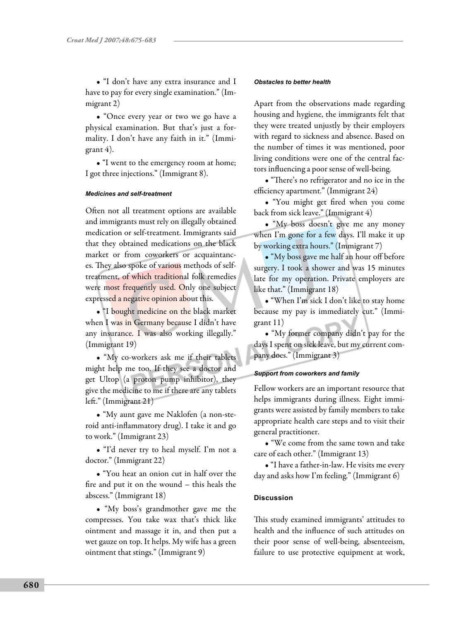• "I don't have any extra insurance and I have to pay for every single examination." (Immigrant 2)

• "Once every year or two we go have a physical examination. But that's just a formality. I don't have any faith in it." (Immigrant 4).

• "I went to the emergency room at home; I got three injections." (Immigrant 8).

## *Medicines and self-treatment*

Often not all treatment options are available and immigrants must rely on illegally obtained medication or self-treatment. Immigrants said that they obtained medications on the black market or from coworkers or acquaintances. They also spoke of various methods of selftreatment, of which traditional folk remedies were most frequently used. Only one subject expressed a negative opinion about this.

• "I bought medicine on the black market when I was in Germany because I didn't have any insurance. I was also working illegally." (Immigrant 19)

• "My co-workers ask me if their tablets might help me too. If they see a doctor and get Ultop (a proton pump inhibitor), they give the medicine to me if there are any tablets left." (Immigrant 21)

• "My aunt gave me Naklofen (a non-steroid anti-inflammatory drug). I take it and go to work." (Immigrant 23)

• "I'd never try to heal myself. I'm not a doctor." (Immigrant 22)

• "You heat an onion cut in half over the fire and put it on the wound – this heals the abscess." (Immigrant 18)

• "My boss's grandmother gave me the compresses. You take wax that's thick like ointment and massage it in, and then put a wet gauze on top. It helps. My wife has a green ointment that stings." (Immigrant 9)

## *Obstacles to better health*

Apart from the observations made regarding housing and hygiene, the immigrants felt that they were treated unjustly by their employers with regard to sickness and absence. Based on the number of times it was mentioned, poor living conditions were one of the central factors influencing a poor sense of well-being.

• "There's no refrigerator and no ice in the efficiency apartment." (Immigrant 24)

• "You might get fired when you come back from sick leave." (Immigrant 4)

• "My boss doesn't give me any money when I'm gone for a few days. I'll make it up by working extra hours." (Immigrant 7)

• "My boss gave me half an hour off before surgery. I took a shower and was 15 minutes late for my operation. Private employers are like that." (Immigrant 18)

• "When I'm sick I don't like to stay home because my pay is immediately cut." (Immigrant 11)

• "My former company didn't pay for the days I spent on sick leave, but my current company does." (Immigrant 3)

## *Support from coworkers and family*

Fellow workers are an important resource that helps immigrants during illness. Eight immigrants were assisted by family members to take appropriate health care steps and to visit their general practitioner.

• "We come from the same town and take care of each other." (Immigrant 13)

• "I have a father-in-law. He visits me every day and asks how I'm feeling." (Immigrant 6)

# **Discussion**

This study examined immigrants' attitudes to health and the influence of such attitudes on their poor sense of well-being, absenteeism, failure to use protective equipment at work,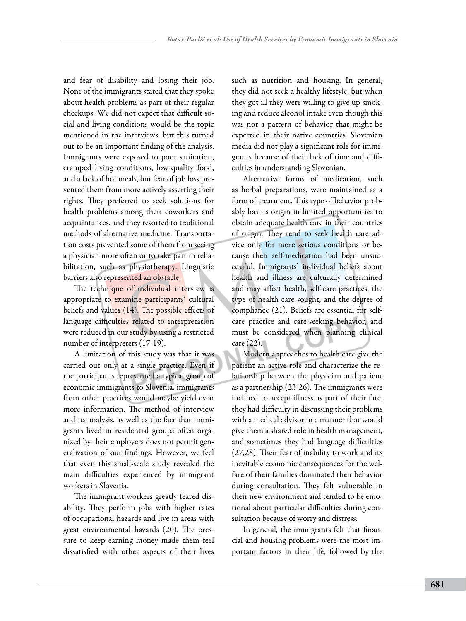and fear of disability and losing their job. None of the immigrants stated that they spoke about health problems as part of their regular checkups. We did not expect that difficult social and living conditions would be the topic mentioned in the interviews, but this turned out to be an important finding of the analysis. Immigrants were exposed to poor sanitation, cramped living conditions, low-quality food, and a lack of hot meals, but fear of job loss prevented them from more actively asserting their rights. They preferred to seek solutions for health problems among their coworkers and acquaintances, and they resorted to traditional methods of alternative medicine. Transportation costs prevented some of them from seeing a physician more often or to take part in rehabilitation, such as physiotherapy. Linguistic barriers also represented an obstacle.

The technique of individual interview is appropriate to examine participants' cultural beliefs and values (14). The possible effects of language difficulties related to interpretation were reduced in our study by using a restricted number of interpreters (17-19).

A limitation of this study was that it was carried out only at a single practice. Even if the participants represented a typical group of economic immigrants to Slovenia, immigrants from other practices would maybe yield even more information. The method of interview and its analysis, as well as the fact that immigrants lived in residential groups often organized by their employers does not permit generalization of our findings. However, we feel that even this small-scale study revealed the main difficulties experienced by immigrant workers in Slovenia.

The immigrant workers greatly feared disability. They perform jobs with higher rates of occupational hazards and live in areas with great environmental hazards (20). The pressure to keep earning money made them feel dissatisfied with other aspects of their lives such as nutrition and housing. In general, they did not seek a healthy lifestyle, but when they got ill they were willing to give up smoking and reduce alcohol intake even though this was not a pattern of behavior that might be expected in their native countries. Slovenian media did not play a significant role for immigrants because of their lack of time and difficulties in understanding Slovenian.

Alternative forms of medication, such as herbal preparations, were maintained as a form of treatment. This type of behavior probably has its origin in limited opportunities to obtain adequate health care in their countries of origin. They tend to seek health care advice only for more serious conditions or because their self-medication had been unsuccessful. Immigrants' individual beliefs about health and illness are culturally determined and may affect health, self-care practices, the type of health care sought, and the degree of compliance (21). Beliefs are essential for selfcare practice and care-seeking behavior, and must be considered when planning clinical care (22).

Modern approaches to health care give the patient an active role and characterize the relationship between the physician and patient as a partnership (23-26). The immigrants were inclined to accept illness as part of their fate, they had difficulty in discussing their problems with a medical advisor in a manner that would give them a shared role in health management, and sometimes they had language difficulties (27,28). Their fear of inability to work and its inevitable economic consequences for the welfare of their families dominated their behavior during consultation. They felt vulnerable in their new environment and tended to be emotional about particular difficulties during consultation because of worry and distress.

In general, the immigrants felt that financial and housing problems were the most important factors in their life, followed by the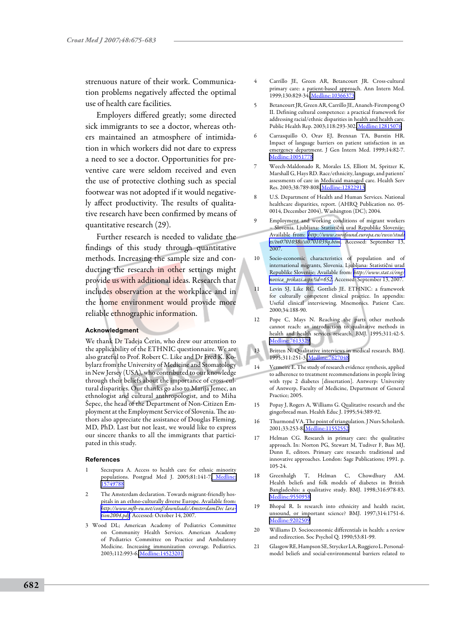strenuous nature of their work. Communication problems negatively affected the optimal use of health care facilities.

Employers differed greatly; some directed sick immigrants to see a doctor, whereas others maintained an atmosphere of intimidation in which workers did not dare to express a need to see a doctor. Opportunities for preventive care were seldom received and even the use of protective clothing such as special footwear was not adopted if it would negatively affect productivity. The results of qualitative research have been confirmed by means of quantitative research (29).

Further research is needed to validate the findings of this study through quantitative methods. Increasing the sample size and conducting the research in other settings might provide us with additional ideas. Research that includes observation at the workplace and in the home environment would provide more reliable ethnographic information.

#### **Acknowledgment**

We thank Dr Tadeja Čerin, who drew our attention to the applicability of the ETHNIC questionnaire. We are also grateful to Prof. Robert C. Like and Dr Fred K. Kobylarz from the University of Medicine and Stomatology in New Jersey (USA), who contributed to our knowledge through their beliefs about the importance of cross-cultural disparities. Our thanks go also to Marija Jemec, an ethnologist and cultural anthropologist, and to Miha Šepec, the head of the Department of Non-Citizen Employment at the Employment Service of Slovenia. The authors also appreciate the assistance of Douglas Fleming, MD, PhD. Last but not least, we would like to express our sincere thanks to all the immigrants that participated in this study.

#### **References**

- Szczepura A. Access to health care for ethnic minority populations. Postgrad Med J. 2005;81:141-7. Medline: [15749788](http://www.ncbi.nlm.nih.gov/sites/entrez?cmd=Retrieve&db=PubMed&list_uids=15749788&dopt=Abstrac)
- 2 The Amsterdam declaration. Towards migrant-friendly hospitals in an ethno-culturally diverse Europe. Available from: *[http://www.mfh-eu.net/conf/downloads/AmsterdamDec lara](http://www.mfh-eu.net/conf/downloads/AmsterdamDeclaration2004.pdf)[tion2004.pdf.](http://www.mfh-eu.net/conf/downloads/AmsterdamDeclaration2004.pdf)* Accessed: October 14, 2007.
- 3 Wood DL; American Academy of Pediatrics Committee on Community Health Services. American Academy of Pediatrics Committee on Practice and Ambulatory Medicine. Increasing immunization coverage. Pediatrics. 2003;112:993-6[. Medline:14523201](http://www.ncbi.nlm.nih.gov/sites/entrez?cmd=Retrieve&db=PubMed&list_uids=14523201&dopt=Abstrac)
- 4 Carrillo JE, Green AR, Betancourt JR. Cross-cultural primary care: a patient-based approach. Ann Intern Med. 1999;130:829-34. Medline: 10366373
- 5 Betancourt JR, Green AR, Carrillo JE, Ananeh-Firempong O II. Defining cultural competence: a practical framework for addressing racial/ethnic disparities in health and health care. Public Health Rep. 2003;118:293-302[. Medline:12815076](http://www.ncbi.nlm.nih.gov/sites/entrez?cmd=Retrieve&db=PubMed&list_uids=12815076&dopt=Abstrac)
- 6 Carrasquillo O, Orav EJ, Brennan TA, Burstin HR. Impact of language barriers on patient satisfaction in an emergency department. J Gen Intern Med. 1999;14:82-7. [Medline:10051778](http://www.ncbi.nlm.nih.gov/sites/entrez?cmd=Retrieve&db=PubMed&list_uids=10051778&dopt=Abstrac)
- 7 Weech-Maldonado R, Morales LS, Elliott M, Spritzer K, Marshall G, Hays RD. Race/ethnicity, language, and patients' assessments of care in Medicaid managed care. Health Serv Res. 2003;38:789-808. [Medline:12822913](http://www.ncbi.nlm.nih.gov/sites/entrez?cmd=Retrieve&db=PubMed&list_uids=12822913&dopt=Abstrac)
- U.S. Department of Health and Human Services. National healthcare disparities, report. (AHRQ Publication no. 05- 0014, December 2004), Washington (DC); 2004.
- 9 Employment and working conditions of migrant workers – Slovenia. Ljubljana: Statistični urad Republike Slovenije; Available from: *[http://www.eurofound.europa.eu/ewco/studi](http://www.eurofound.europa.eu/ewco/studies/tn0701038s/si0701039q.htm) [es/tn0701038s/si0701039q.htm](http://www.eurofound.europa.eu/ewco/studies/tn0701038s/si0701039q.htm)*. Accessed: September 13, 2007.
- 10 Socio-economic characteristics of population and of international migrants, Slovenia. Ljubljana: Statistični urad Republike Slovenije; Available from: *[http://www.stat.si/eng/](http://www.stat.si/eng/novica_prikazi.aspx?id=652) [novica\\_prikazi.aspx?id=652](http://www.stat.si/eng/novica_prikazi.aspx?id=652)*. Accessed: September 13, 2007.
- 11 Levin SJ, Like RC, Gottlieb JE. ETHNIC: a framework for culturally competent clinical practice. In appendix: Useful clinical interviewing. Mnemonics. Patient Care. 2000;34:188-90.
- 12 Pope C, Mays N. Reaching the parts other methods cannot reach: an introduction to qualitative methods in health and health services research. BMJ. 1995;311:42-5. [Medline:7613329](http://www.ncbi.nlm.nih.gov/sites/entrez?cmd=Retrieve&db=PubMed&list_uids=7613329&dopt=Abstrac)
- 13 Britten N. Qualitative interviews in medical research. BMJ. 1995;311:251-3. [Medline:7627048](http://www.ncbi.nlm.nih.gov/sites/entrez?cmd=Retrieve&db=PubMed&list_uids=7627048&dopt=Abstrac)
- 14 Vermeire E. The study of research evidence synthesis, applied to adherence to treatment recommendations in people living with type 2 diabetes [dissertation]. Antwerp: University of Antwerp, Faculty of Medicine, Department of General Practice; 2005.
- 15 Popay J, Rogers A, Williams G. Qualitative research and the gingerbread man. Health Educ J. 1995;54:389-92.
- 16 Thurmond VA. The point of triangulation. J Nurs Scholarsh. 2001;33:253-8. [Medline:11552552](http://www.ncbi.nlm.nih.gov/sites/entrez?cmd=Retrieve&db=PubMed&list_uids=11552552&dopt=Abstrac)
- 17 Helman CG. Research in primary care: the qualitative approach. In: Norton PG, Stewart M, Tudiver F, Bass MJ, Dunn E, editors. Primary care research: traditional and innovative approaches. London: Sage Publications; 1991. p. 105-24.
- 18 Greenhalgh T, Helman C, Chowdhury AM. Health beliefs and folk models of diabetes in British Bangladeshis: a qualitative study. BMJ. 1998;316:978-83. [Medline:9550958](http://www.ncbi.nlm.nih.gov/sites/entrez?cmd=Retrieve&db=PubMed&list_uids=9550958&dopt=Abstrac)
- 19 Bhopal R. Is research into ethnicity and health racist, unsound, or important science? BMJ. 1997;314:1751-6. [Medline:9202509](http://www.ncbi.nlm.nih.gov/sites/entrez?cmd=Retrieve&db=PubMed&list_uids=9202509&dopt=Abstrac)
- 20 Williams D. Socioeconomic differentials in health: a review and redirection. Soc Psychol Q. 1990;53:81-99.
- 21 Glasgow RE, Hampson SE, Strycker LA, Ruggiero L. Personalmodel beliefs and social-environmental barriers related to